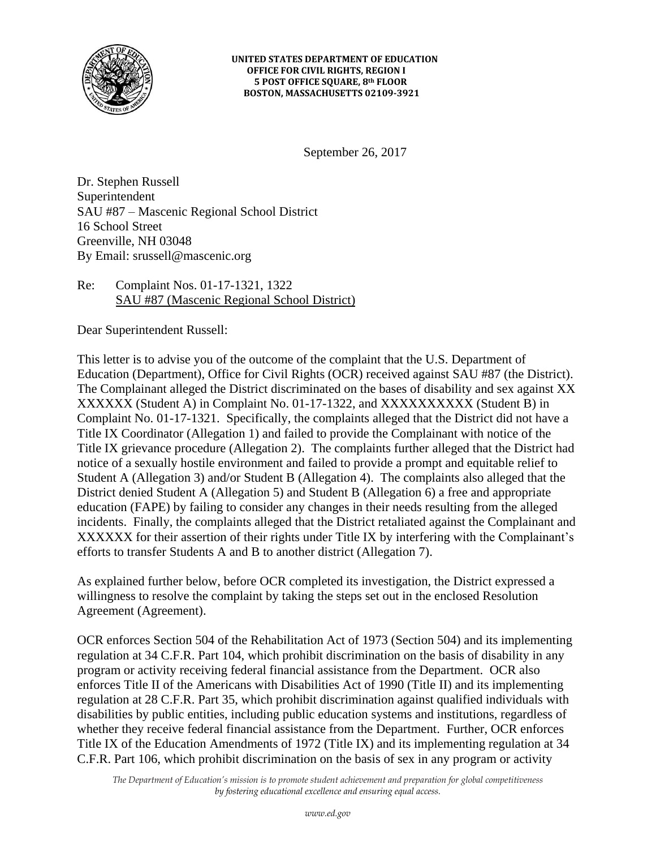

#### **UNITED STATES DEPARTMENT OF EDUCATION OFFICE FOR CIVIL RIGHTS, REGION I 5 POST OFFICE SQUARE, 8th FLOOR BOSTON, MASSACHUSETTS 02109-3921**

September 26, 2017

Dr. Stephen Russell Superintendent SAU #87 – Mascenic Regional School District 16 School Street Greenville, NH 03048 By Email: [srussell@mascenic.org](mailto:srussell@mascenic.org)

## Re: Complaint Nos. 01-17-1321, 1322 SAU #87 (Mascenic Regional School District)

Dear Superintendent Russell:

This letter is to advise you of the outcome of the complaint that the U.S. Department of Education (Department), Office for Civil Rights (OCR) received against SAU #87 (the District). The Complainant alleged the District discriminated on the bases of disability and sex against XX XXXXXX (Student A) in Complaint No. 01-17-1322, and XXXXXXXXXX (Student B) in Complaint No. 01-17-1321. Specifically, the complaints alleged that the District did not have a Title IX Coordinator (Allegation 1) and failed to provide the Complainant with notice of the Title IX grievance procedure (Allegation 2). The complaints further alleged that the District had notice of a sexually hostile environment and failed to provide a prompt and equitable relief to Student A (Allegation 3) and/or Student B (Allegation 4). The complaints also alleged that the District denied Student A (Allegation 5) and Student B (Allegation 6) a free and appropriate education (FAPE) by failing to consider any changes in their needs resulting from the alleged incidents. Finally, the complaints alleged that the District retaliated against the Complainant and XXXXXX for their assertion of their rights under Title IX by interfering with the Complainant's efforts to transfer Students A and B to another district (Allegation 7).

As explained further below, before OCR completed its investigation, the District expressed a willingness to resolve the complaint by taking the steps set out in the enclosed Resolution Agreement (Agreement).

OCR enforces Section 504 of the Rehabilitation Act of 1973 (Section 504) and its implementing regulation at 34 C.F.R. Part 104, which prohibit discrimination on the basis of disability in any program or activity receiving federal financial assistance from the Department. OCR also enforces Title II of the Americans with Disabilities Act of 1990 (Title II) and its implementing regulation at 28 C.F.R. Part 35, which prohibit discrimination against qualified individuals with disabilities by public entities, including public education systems and institutions, regardless of whether they receive federal financial assistance from the Department. Further, OCR enforces Title IX of the Education Amendments of 1972 (Title IX) and its implementing regulation at 34 C.F.R. Part 106, which prohibit discrimination on the basis of sex in any program or activity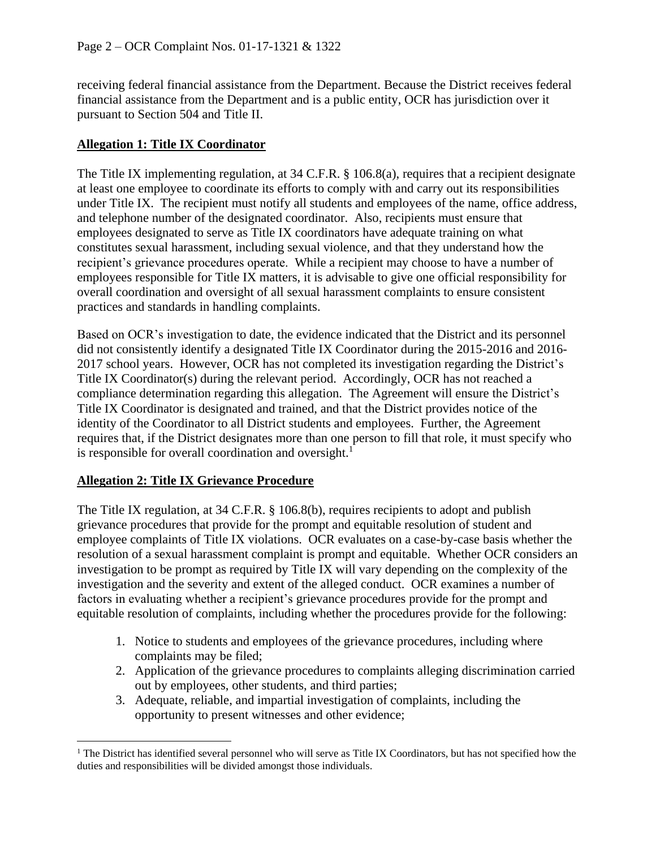receiving federal financial assistance from the Department. Because the District receives federal financial assistance from the Department and is a public entity, OCR has jurisdiction over it pursuant to Section 504 and Title II.

## **Allegation 1: Title IX Coordinator**

The Title IX implementing regulation, at 34 C.F.R. § 106.8(a), requires that a recipient designate at least one employee to coordinate its efforts to comply with and carry out its responsibilities under Title IX. The recipient must notify all students and employees of the name, office address, and telephone number of the designated coordinator. Also, recipients must ensure that employees designated to serve as Title IX coordinators have adequate training on what constitutes sexual harassment, including sexual violence, and that they understand how the recipient's grievance procedures operate. While a recipient may choose to have a number of employees responsible for Title IX matters, it is advisable to give one official responsibility for overall coordination and oversight of all sexual harassment complaints to ensure consistent practices and standards in handling complaints.

Based on OCR's investigation to date, the evidence indicated that the District and its personnel did not consistently identify a designated Title IX Coordinator during the 2015-2016 and 2016- 2017 school years. However, OCR has not completed its investigation regarding the District's Title IX Coordinator(s) during the relevant period. Accordingly, OCR has not reached a compliance determination regarding this allegation. The Agreement will ensure the District's Title IX Coordinator is designated and trained, and that the District provides notice of the identity of the Coordinator to all District students and employees. Further, the Agreement requires that, if the District designates more than one person to fill that role, it must specify who is responsible for overall coordination and oversight.<sup>1</sup>

## **Allegation 2: Title IX Grievance Procedure**

 $\overline{a}$ 

The Title IX regulation, at 34 C.F.R. § 106.8(b), requires recipients to adopt and publish grievance procedures that provide for the prompt and equitable resolution of student and employee complaints of Title IX violations. OCR evaluates on a case-by-case basis whether the resolution of a sexual harassment complaint is prompt and equitable. Whether OCR considers an investigation to be prompt as required by Title IX will vary depending on the complexity of the investigation and the severity and extent of the alleged conduct. OCR examines a number of factors in evaluating whether a recipient's grievance procedures provide for the prompt and equitable resolution of complaints, including whether the procedures provide for the following:

- 1. Notice to students and employees of the grievance procedures, including where complaints may be filed;
- 2. Application of the grievance procedures to complaints alleging discrimination carried out by employees, other students, and third parties;
- 3. Adequate, reliable, and impartial investigation of complaints, including the opportunity to present witnesses and other evidence;

<sup>&</sup>lt;sup>1</sup> The District has identified several personnel who will serve as Title IX Coordinators, but has not specified how the duties and responsibilities will be divided amongst those individuals.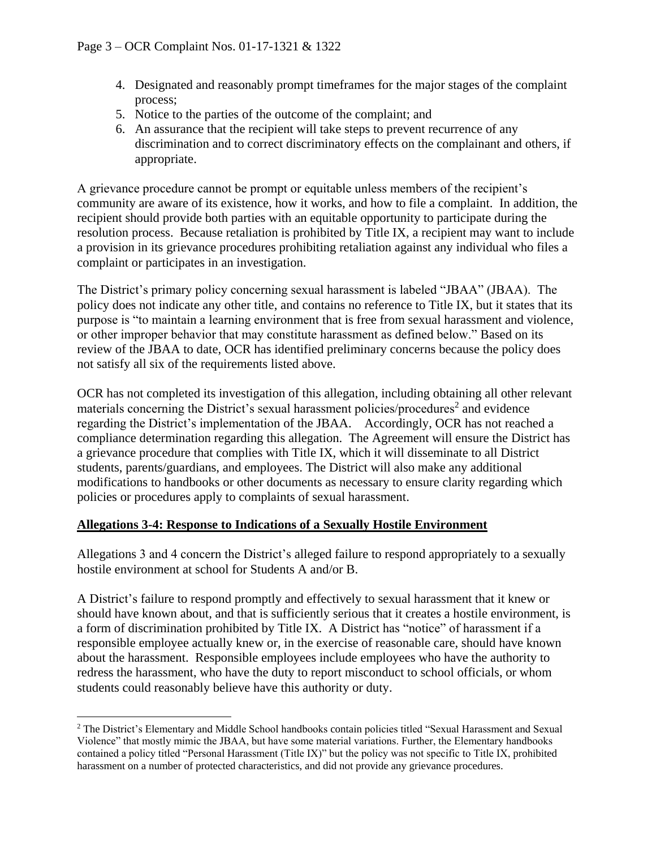- 4. Designated and reasonably prompt timeframes for the major stages of the complaint process;
- 5. Notice to the parties of the outcome of the complaint; and
- 6. An assurance that the recipient will take steps to prevent recurrence of any discrimination and to correct discriminatory effects on the complainant and others, if appropriate.

A grievance procedure cannot be prompt or equitable unless members of the recipient's community are aware of its existence, how it works, and how to file a complaint. In addition, the recipient should provide both parties with an equitable opportunity to participate during the resolution process. Because retaliation is prohibited by Title IX, a recipient may want to include a provision in its grievance procedures prohibiting retaliation against any individual who files a complaint or participates in an investigation.

The District's primary policy concerning sexual harassment is labeled "JBAA" (JBAA). The policy does not indicate any other title, and contains no reference to Title IX, but it states that its purpose is "to maintain a learning environment that is free from sexual harassment and violence, or other improper behavior that may constitute harassment as defined below." Based on its review of the JBAA to date, OCR has identified preliminary concerns because the policy does not satisfy all six of the requirements listed above.

OCR has not completed its investigation of this allegation, including obtaining all other relevant materials concerning the District's sexual harassment policies/procedures<sup>2</sup> and evidence regarding the District's implementation of the JBAA. Accordingly, OCR has not reached a compliance determination regarding this allegation. The Agreement will ensure the District has a grievance procedure that complies with Title IX, which it will disseminate to all District students, parents/guardians, and employees. The District will also make any additional modifications to handbooks or other documents as necessary to ensure clarity regarding which policies or procedures apply to complaints of sexual harassment.

## **Allegations 3-4: Response to Indications of a Sexually Hostile Environment**

 $\overline{a}$ 

Allegations 3 and 4 concern the District's alleged failure to respond appropriately to a sexually hostile environment at school for Students A and/or B.

A District's failure to respond promptly and effectively to sexual harassment that it knew or should have known about, and that is sufficiently serious that it creates a hostile environment, is a form of discrimination prohibited by Title IX. A District has "notice" of harassment if a responsible employee actually knew or, in the exercise of reasonable care, should have known about the harassment. Responsible employees include employees who have the authority to redress the harassment, who have the duty to report misconduct to school officials, or whom students could reasonably believe have this authority or duty.

<sup>2</sup> The District's Elementary and Middle School handbooks contain policies titled "Sexual Harassment and Sexual Violence" that mostly mimic the JBAA, but have some material variations. Further, the Elementary handbooks contained a policy titled "Personal Harassment (Title IX)" but the policy was not specific to Title IX, prohibited harassment on a number of protected characteristics, and did not provide any grievance procedures.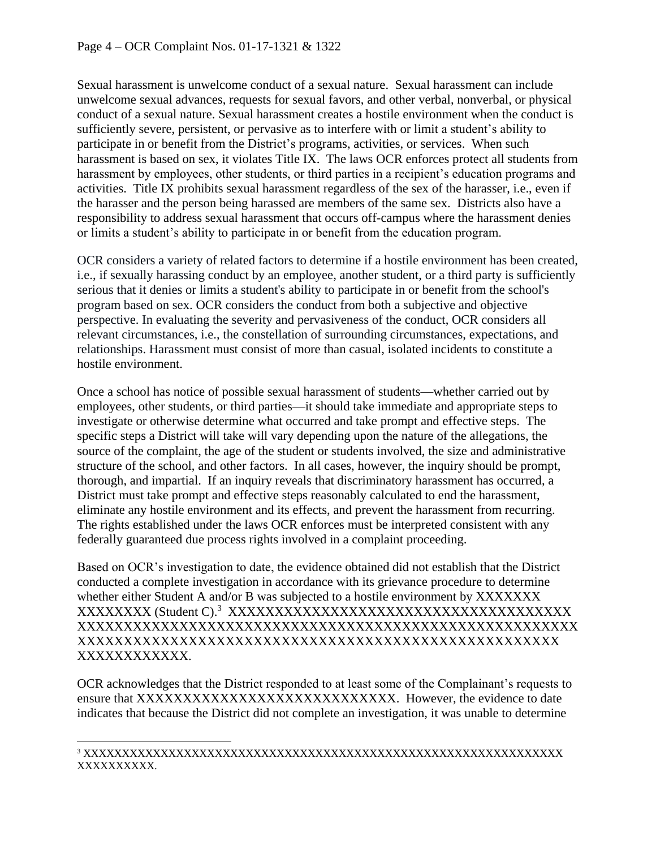Sexual harassment is unwelcome conduct of a sexual nature. Sexual harassment can include unwelcome sexual advances, requests for sexual favors, and other verbal, nonverbal, or physical conduct of a sexual nature. Sexual harassment creates a hostile environment when the conduct is sufficiently severe, persistent, or pervasive as to interfere with or limit a student's ability to participate in or benefit from the District's programs, activities, or services. When such harassment is based on sex, it violates Title IX. The laws OCR enforces protect all students from harassment by employees, other students, or third parties in a recipient's education programs and activities. Title IX prohibits sexual harassment regardless of the sex of the harasser, i.e., even if the harasser and the person being harassed are members of the same sex. Districts also have a responsibility to address sexual harassment that occurs off-campus where the harassment denies or limits a student's ability to participate in or benefit from the education program.

OCR considers a variety of related factors to determine if a hostile environment has been created, i.e., if sexually harassing conduct by an employee, another student, or a third party is sufficiently serious that it denies or limits a student's ability to participate in or benefit from the school's program based on sex. OCR considers the conduct from both a subjective and objective perspective. In evaluating the severity and pervasiveness of the conduct, OCR considers all relevant circumstances, i.e., the constellation of surrounding circumstances, expectations, and relationships. Harassment must consist of more than casual, isolated incidents to constitute a hostile environment.

Once a school has notice of possible sexual harassment of students—whether carried out by employees, other students, or third parties—it should take immediate and appropriate steps to investigate or otherwise determine what occurred and take prompt and effective steps. The specific steps a District will take will vary depending upon the nature of the allegations, the source of the complaint, the age of the student or students involved, the size and administrative structure of the school, and other factors. In all cases, however, the inquiry should be prompt, thorough, and impartial. If an inquiry reveals that discriminatory harassment has occurred, a District must take prompt and effective steps reasonably calculated to end the harassment, eliminate any hostile environment and its effects, and prevent the harassment from recurring. The rights established under the laws OCR enforces must be interpreted consistent with any federally guaranteed due process rights involved in a complaint proceeding.

Based on OCR's investigation to date, the evidence obtained did not establish that the District conducted a complete investigation in accordance with its grievance procedure to determine whether either Student A and/or B was subjected to a hostile environment by XXXXXXX XXXXXXXX (Student C). 3 XXXXXXXXXXXXXXXXXXXXXXXXXXXXXXXXXXXXX XXXXXXXXXXXXXXXXXXXXXXXXXXXXXXXXXXXXXXXXXXXXXXXXXXXXXX XXXXXXXXXXXXXXXXXXXXXXXXXXXXXXXXXXXXXXXXXXXXXXXXXXXX XXXXXXXXXXXX.

OCR acknowledges that the District responded to at least some of the Complainant's requests to ensure that XXXXXXXXXXXXXXXXXXXXXXXXXXXX. However, the evidence to date indicates that because the District did not complete an investigation, it was unable to determine

 $\overline{a}$ 

<sup>3</sup> XXXXXXXXXXXXXXXXXXXXXXXXXXXXXXXXXXXXXXXXXXXXXXXXXXXXXXXXXXXXXX XXXXXXXXXX.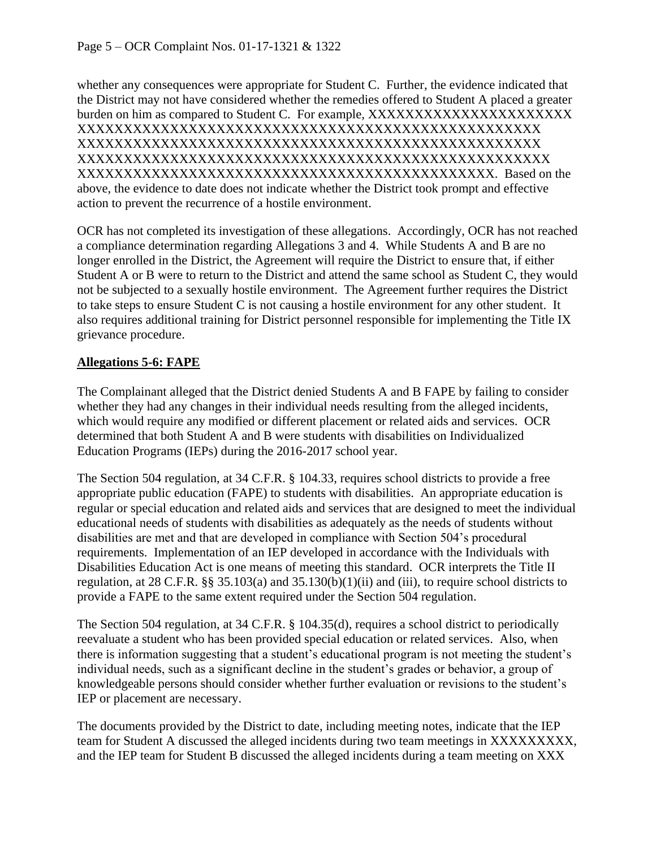whether any consequences were appropriate for Student C. Further, the evidence indicated that the District may not have considered whether the remedies offered to Student A placed a greater burden on him as compared to Student C. For example, XXXXXXXXXXXXXXXXXXXXXX XXXXXXXXXXXXXXXXXXXXXXXXXXXXXXXXXXXXXXXXXXXXXXXXXX XXXXXXXXXXXXXXXXXXXXXXXXXXXXXXXXXXXXXXXXXXXXXXXXXX XXXXXXXXXXXXXXXXXXXXXXXXXXXXXXXXXXXXXXXXXXXXXXXXXXX XXXXXXXXXXXXXXXXXXXXXXXXXXXXXXXXXXXXXXXXXXXXX. Based on the above, the evidence to date does not indicate whether the District took prompt and effective action to prevent the recurrence of a hostile environment.

OCR has not completed its investigation of these allegations. Accordingly, OCR has not reached a compliance determination regarding Allegations 3 and 4. While Students A and B are no longer enrolled in the District, the Agreement will require the District to ensure that, if either Student A or B were to return to the District and attend the same school as Student C, they would not be subjected to a sexually hostile environment. The Agreement further requires the District to take steps to ensure Student C is not causing a hostile environment for any other student. It also requires additional training for District personnel responsible for implementing the Title IX grievance procedure.

# **Allegations 5-6: FAPE**

The Complainant alleged that the District denied Students A and B FAPE by failing to consider whether they had any changes in their individual needs resulting from the alleged incidents, which would require any modified or different placement or related aids and services. OCR determined that both Student A and B were students with disabilities on Individualized Education Programs (IEPs) during the 2016-2017 school year.

The Section 504 regulation, at 34 C.F.R. § 104.33, requires school districts to provide a free appropriate public education (FAPE) to students with disabilities. An appropriate education is regular or special education and related aids and services that are designed to meet the individual educational needs of students with disabilities as adequately as the needs of students without disabilities are met and that are developed in compliance with Section 504's procedural requirements. Implementation of an IEP developed in accordance with the Individuals with Disabilities Education Act is one means of meeting this standard. OCR interprets the Title II regulation, at 28 C.F.R. §§ 35.103(a) and 35.130(b)(1)(ii) and (iii), to require school districts to provide a FAPE to the same extent required under the Section 504 regulation.

The Section 504 regulation, at 34 C.F.R. § 104.35(d), requires a school district to periodically reevaluate a student who has been provided special education or related services. Also, when there is information suggesting that a student's educational program is not meeting the student's individual needs, such as a significant decline in the student's grades or behavior, a group of knowledgeable persons should consider whether further evaluation or revisions to the student's IEP or placement are necessary.

The documents provided by the District to date, including meeting notes, indicate that the IEP team for Student A discussed the alleged incidents during two team meetings in XXXXXXXXX, and the IEP team for Student B discussed the alleged incidents during a team meeting on XXX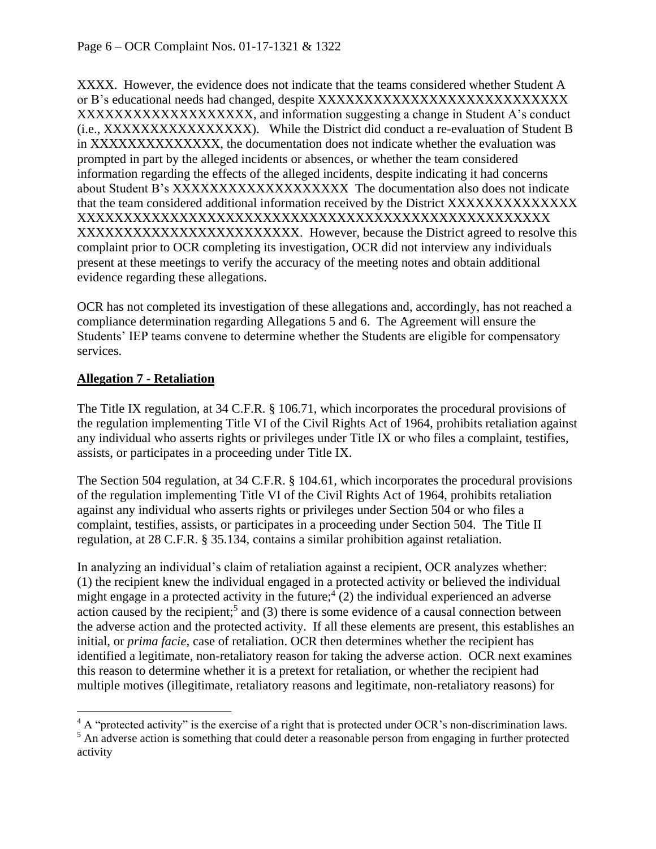XXXX. However, the evidence does not indicate that the teams considered whether Student A or B's educational needs had changed, despite XXXXXXXXXXXXXXXXXXXXXXXXXXX XXXXXXXXXXXXXXXXXXXX, and information suggesting a change in Student A's conduct (i.e., XXXXXXXXXXXXXXXX). While the District did conduct a re-evaluation of Student B in XXXXXXXXXXXXXX, the documentation does not indicate whether the evaluation was prompted in part by the alleged incidents or absences, or whether the team considered information regarding the effects of the alleged incidents, despite indicating it had concerns about Student B's XXXXXXXXXXXXXXXXXXX The documentation also does not indicate that the team considered additional information received by the District XXXXXXXXXXXXXX XXXXXXXXXXXXXXXXXXXXXXXXXXXXXXXXXXXXXXXXXXXXXXXXXXX XXXXXXXXXXXXXXXXXXXXXXXX. However, because the District agreed to resolve this complaint prior to OCR completing its investigation, OCR did not interview any individuals present at these meetings to verify the accuracy of the meeting notes and obtain additional evidence regarding these allegations.

OCR has not completed its investigation of these allegations and, accordingly, has not reached a compliance determination regarding Allegations 5 and 6. The Agreement will ensure the Students' IEP teams convene to determine whether the Students are eligible for compensatory services.

## **Allegation 7 - Retaliation**

 $\overline{a}$ 

The Title IX regulation, at 34 C.F.R. § 106.71, which incorporates the procedural provisions of the regulation implementing Title VI of the Civil Rights Act of 1964, prohibits retaliation against any individual who asserts rights or privileges under Title IX or who files a complaint, testifies, assists, or participates in a proceeding under Title IX.

The Section 504 regulation, at 34 C.F.R. § 104.61, which incorporates the procedural provisions of the regulation implementing Title VI of the Civil Rights Act of 1964, prohibits retaliation against any individual who asserts rights or privileges under Section 504 or who files a complaint, testifies, assists, or participates in a proceeding under Section 504. The Title II regulation, at 28 C.F.R. § 35.134, contains a similar prohibition against retaliation.

In analyzing an individual's claim of retaliation against a recipient, OCR analyzes whether: (1) the recipient knew the individual engaged in a protected activity or believed the individual might engage in a protected activity in the future;<sup>4</sup> (2) the individual experienced an adverse action caused by the recipient;<sup>5</sup> and (3) there is some evidence of a causal connection between the adverse action and the protected activity. If all these elements are present, this establishes an initial, or *prima facie*, case of retaliation. OCR then determines whether the recipient has identified a legitimate, non-retaliatory reason for taking the adverse action. OCR next examines this reason to determine whether it is a pretext for retaliation, or whether the recipient had multiple motives (illegitimate, retaliatory reasons and legitimate, non-retaliatory reasons) for

 $4 A$  "protected activity" is the exercise of a right that is protected under OCR's non-discrimination laws.

<sup>&</sup>lt;sup>5</sup> An adverse action is something that could deter a reasonable person from engaging in further protected activity